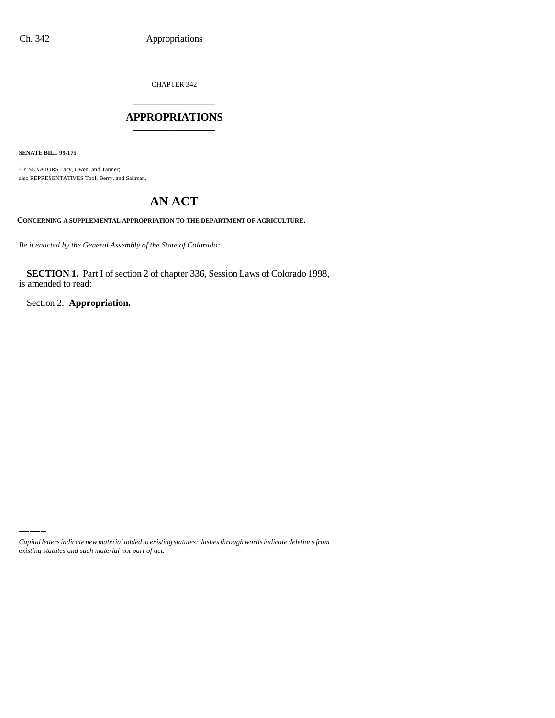CHAPTER 342

## \_\_\_\_\_\_\_\_\_\_\_\_\_\_\_ **APPROPRIATIONS** \_\_\_\_\_\_\_\_\_\_\_\_\_\_\_

**SENATE BILL 99-175**

BY SENATORS Lacy, Owen, and Tanner; also REPRESENTATIVES Tool, Berry, and Saliman.

# **AN ACT**

**CONCERNING A SUPPLEMENTAL APPROPRIATION TO THE DEPARTMENT OF AGRICULTURE.**

*Be it enacted by the General Assembly of the State of Colorado:*

**SECTION 1.** Part I of section 2 of chapter 336, Session Laws of Colorado 1998, is amended to read:

Section 2. **Appropriation.**

*Capital letters indicate new material added to existing statutes; dashes through words indicate deletions from existing statutes and such material not part of act.*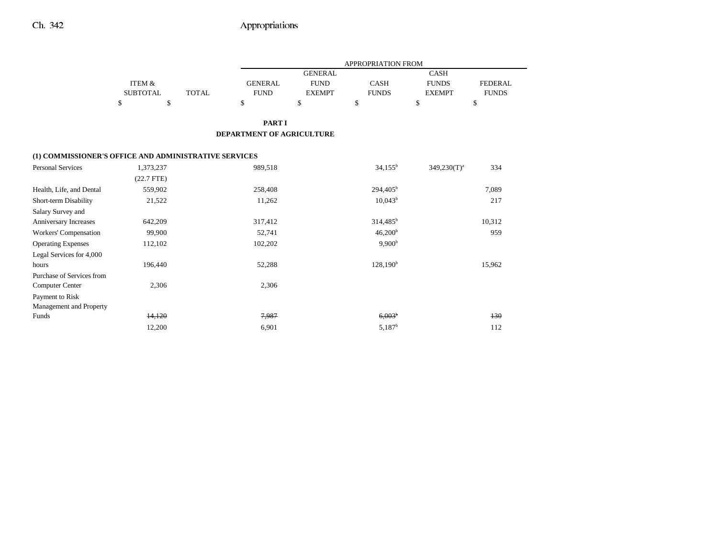|                                                       |                   |              | APPROPRIATION FROM        |                |                     |                |                |
|-------------------------------------------------------|-------------------|--------------|---------------------------|----------------|---------------------|----------------|----------------|
|                                                       |                   |              |                           | <b>GENERAL</b> |                     | <b>CASH</b>    |                |
|                                                       | <b>ITEM &amp;</b> |              | <b>GENERAL</b>            | <b>FUND</b>    | <b>CASH</b>         | <b>FUNDS</b>   | <b>FEDERAL</b> |
|                                                       | <b>SUBTOTAL</b>   | <b>TOTAL</b> | <b>FUND</b>               | <b>EXEMPT</b>  | <b>FUNDS</b>        | <b>EXEMPT</b>  | <b>FUNDS</b>   |
|                                                       | \$<br>\$          |              | \$                        | \$             | \$                  | \$             | \$             |
|                                                       |                   |              | <b>PART I</b>             |                |                     |                |                |
|                                                       |                   |              | DEPARTMENT OF AGRICULTURE |                |                     |                |                |
| (1) COMMISSIONER'S OFFICE AND ADMINISTRATIVE SERVICES |                   |              |                           |                |                     |                |                |
| <b>Personal Services</b>                              | 1,373,237         |              | 989,518                   |                | $34,155^b$          | $349,230(T)^a$ | 334            |
|                                                       | $(22.7$ FTE)      |              |                           |                |                     |                |                |
| Health, Life, and Dental                              | 559,902           |              | 258,408                   |                | $294,405^{\rm b}$   |                | 7,089          |
| Short-term Disability                                 | 21,522            |              | 11,262                    |                | $10,043^b$          |                | 217            |
| Salary Survey and                                     |                   |              |                           |                |                     |                |                |
| Anniversary Increases                                 | 642,209           |              | 317,412                   |                | $314,485^b$         |                | 10,312         |
| Workers' Compensation                                 | 99,900            |              | 52,741                    |                | 46,200 <sup>b</sup> |                | 959            |
| <b>Operating Expenses</b>                             | 112,102           |              | 102,202                   |                | 9,900 <sup>b</sup>  |                |                |
| Legal Services for 4,000                              |                   |              |                           |                |                     |                |                |
| hours                                                 | 196,440           |              | 52,288                    |                | $128,190^{\rm b}$   |                | 15,962         |
| Purchase of Services from                             |                   |              |                           |                |                     |                |                |
| <b>Computer Center</b>                                | 2,306             |              | 2,306                     |                |                     |                |                |
| Payment to Risk                                       |                   |              |                           |                |                     |                |                |
| Management and Property                               |                   |              |                           |                |                     |                |                |
| Funds                                                 | 14,120            |              | 7,987                     |                | 6.003 <sup>b</sup>  |                | 130            |
|                                                       | 12,200            |              | 6,901                     |                | $5,187^{\rm b}$     |                | 112            |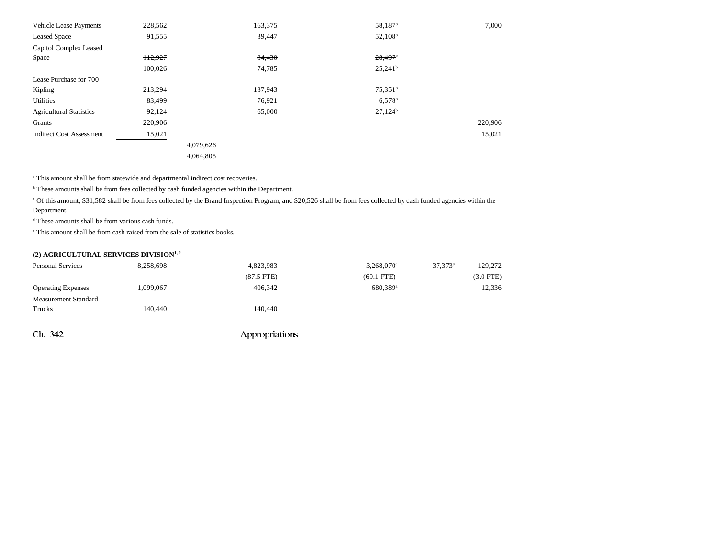| Vehicle Lease Payments          | 228,562 |           | 163,375 | 58,187 <sup>b</sup>   | 7,000   |
|---------------------------------|---------|-----------|---------|-----------------------|---------|
| <b>Leased Space</b>             | 91,555  |           | 39,447  | $52,108^b$            |         |
| Capitol Complex Leased          |         |           |         |                       |         |
| Space                           | 112,927 |           | 84,430  | $28,497$ <sup>b</sup> |         |
|                                 | 100,026 |           | 74,785  | $25,241^b$            |         |
| Lease Purchase for 700          |         |           |         |                       |         |
| Kipling                         | 213,294 |           | 137,943 | 75.351 <sup>b</sup>   |         |
| <b>Utilities</b>                | 83,499  |           | 76,921  | $6,578$ <sup>b</sup>  |         |
| <b>Agricultural Statistics</b>  | 92,124  |           | 65,000  | $27,124^b$            |         |
| Grants                          | 220,906 |           |         |                       | 220,906 |
| <b>Indirect Cost Assessment</b> | 15,021  |           |         |                       | 15,021  |
|                                 |         | 4,079,626 |         |                       |         |
|                                 |         | 4,064,805 |         |                       |         |

<sup>a</sup> This amount shall be from statewide and departmental indirect cost recoveries.

<sup>b</sup> These amounts shall be from fees collected by cash funded agencies within the Department.

c Of this amount, \$31,582 shall be from fees collected by the Brand Inspection Program, and \$20,526 shall be from fees collected by cash funded agencies within the Department.

d These amounts shall be from various cash funds.

e This amount shall be from cash raised from the sale of statistics books.

### (2) AGRICULTURAL SERVICES DIVISION<sup>1, 2</sup>

| <b>Personal Services</b>  | 8.258.698 | 4,823,983            | $3.268.070$ <sup>a</sup> | $37.373^{\circ}$ | 129.272   |
|---------------------------|-----------|----------------------|--------------------------|------------------|-----------|
|                           |           | $(87.5 \text{ FTE})$ | $(69.1$ FTE)             |                  | (3.0 FTE) |
| <b>Operating Expenses</b> | 1.099.067 | 406.342              | 680.389 <sup>a</sup>     |                  | 12.336    |
| Measurement Standard      |           |                      |                          |                  |           |
| Trucks                    | 140.440   | 140.440              |                          |                  |           |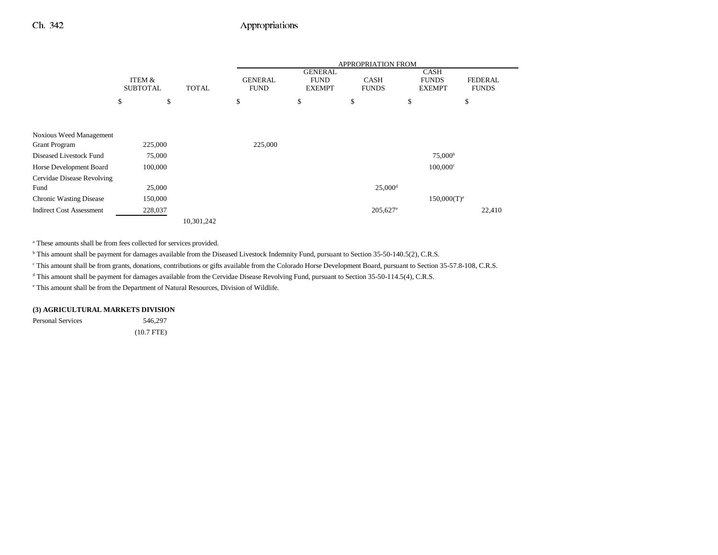## Ch. 342 Appropriations

|                                 |                 |    |              | APPROPRIATION FROM |                               |                        |    |                             |                |
|---------------------------------|-----------------|----|--------------|--------------------|-------------------------------|------------------------|----|-----------------------------|----------------|
|                                 | ITEM &          |    |              | <b>GENERAL</b>     | <b>GENERAL</b><br><b>FUND</b> | <b>CASH</b>            |    | <b>CASH</b><br><b>FUNDS</b> | <b>FEDERAL</b> |
|                                 | <b>SUBTOTAL</b> |    | <b>TOTAL</b> | <b>FUND</b>        | <b>EXEMPT</b>                 | <b>FUNDS</b>           |    | <b>EXEMPT</b>               | <b>FUNDS</b>   |
|                                 | \$              | \$ |              | \$                 | \$                            | \$                     | \$ | \$                          |                |
|                                 |                 |    |              |                    |                               |                        |    |                             |                |
|                                 |                 |    |              |                    |                               |                        |    |                             |                |
| Noxious Weed Management         |                 |    |              |                    |                               |                        |    |                             |                |
| <b>Grant Program</b>            | 225,000         |    |              | 225,000            |                               |                        |    |                             |                |
| Diseased Livestock Fund         | 75,000          |    |              |                    |                               |                        |    | 75,000 <sup>b</sup>         |                |
| Horse Development Board         | 100,000         |    |              |                    |                               |                        |    | $100,000$ <sup>c</sup>      |                |
| Cervidae Disease Revolving      |                 |    |              |                    |                               |                        |    |                             |                |
| Fund                            | 25,000          |    |              |                    |                               | $25,000$ <sup>d</sup>  |    |                             |                |
| <b>Chronic Wasting Disease</b>  | 150,000         |    |              |                    |                               |                        |    | $150,000(T)^e$              |                |
| <b>Indirect Cost Assessment</b> | 228,037         |    |              |                    |                               | $205,627$ <sup>a</sup> |    |                             | 22,410         |
|                                 |                 |    | 10,301,242   |                    |                               |                        |    |                             |                |

a These amounts shall be from fees collected for services provided.

<sup>b</sup> This amount shall be payment for damages available from the Diseased Livestock Indemnity Fund, pursuant to Section 35-50-140.5(2), C.R.S.

c This amount shall be from grants, donations, contributions or gifts available from the Colorado Horse Development Board, pursuant to Section 35-57.8-108, C.R.S.

<sup>d</sup> This amount shall be payment for damages available from the Cervidae Disease Revolving Fund, pursuant to Section 35-50-114.5(4), C.R.S.

e This amount shall be from the Department of Natural Resources, Division of Wildlife.

#### **(3) AGRICULTURAL MARKETS DIVISION**

Personal Services 546,297

(10.7 FTE)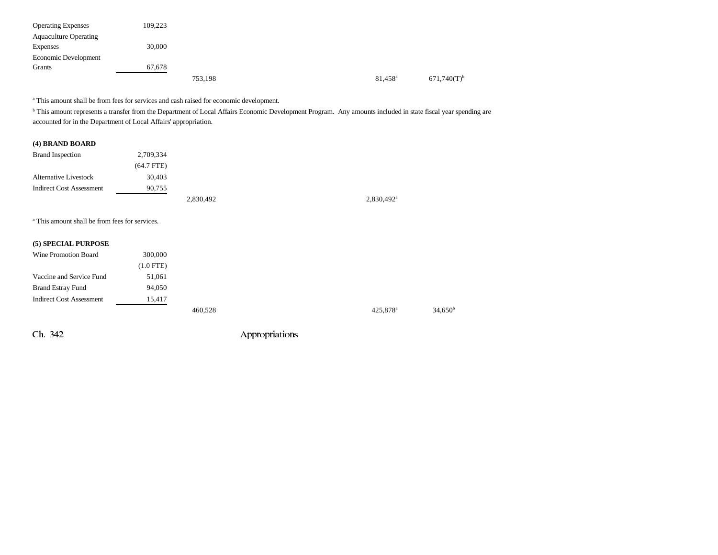| <b>Operating Expenses</b>    | 109,223 |         |  |                  |                           |
|------------------------------|---------|---------|--|------------------|---------------------------|
| <b>Aquaculture Operating</b> |         |         |  |                  |                           |
| Expenses                     | 30,000  |         |  |                  |                           |
| Economic Development         |         |         |  |                  |                           |
| Grants                       | 67,678  |         |  |                  |                           |
|                              |         | 753,198 |  | $81,458^{\rm a}$ | $671,740(T)$ <sup>b</sup> |

a This amount shall be from fees for services and cash raised for economic development.

<sup>b</sup> This amount represents a transfer from the Department of Local Affairs Economic Development Program. Any amounts included in state fiscal year spending are accounted for in the Department of Local Affairs' appropriation.

### **(4) BRAND BOARD**

| <b>Brand Inspection</b>         | 2,709,334    |           |                          |
|---------------------------------|--------------|-----------|--------------------------|
|                                 | $(64.7$ FTE) |           |                          |
| <b>Alternative Livestock</b>    | 30,403       |           |                          |
| <b>Indirect Cost Assessment</b> | 90,755       |           |                          |
|                                 |              | 2,830,492 | $2,830,492$ <sup>a</sup> |

a This amount shall be from fees for services.

#### **(5) SPECIAL PURPOSE**

| Wine Promotion Board            | 300,000     |         |                      |                  |
|---------------------------------|-------------|---------|----------------------|------------------|
|                                 | $(1.0$ FTE) |         |                      |                  |
| Vaccine and Service Fund        | 51,061      |         |                      |                  |
| <b>Brand Estray Fund</b>        | 94,050      |         |                      |                  |
| <b>Indirect Cost Assessment</b> | 15,417      |         |                      |                  |
|                                 |             | 460,528 | 425,878 <sup>a</sup> | $34,650^{\rm b}$ |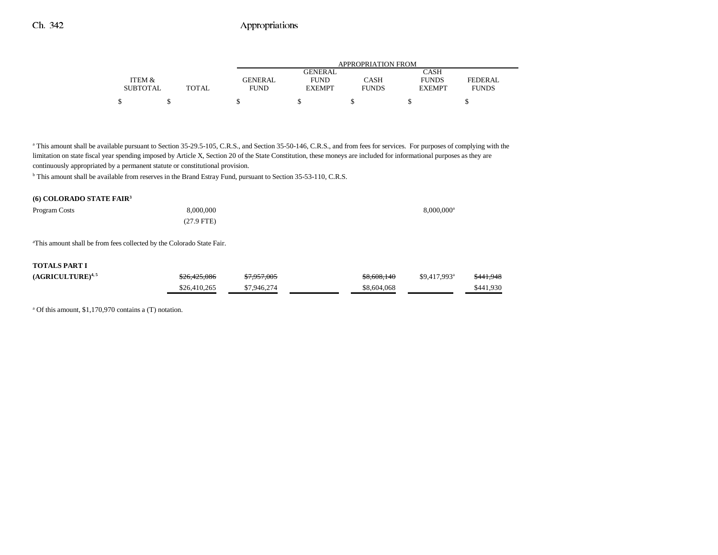| APPROPRIATION FROM            |               |              |  |  |  |  |
|-------------------------------|---------------|--------------|--|--|--|--|
| GENERAL                       | CASH          |              |  |  |  |  |
| CASH<br><b>FUND</b>           | <b>FUNDS</b>  | FEDERAL      |  |  |  |  |
| <b>FUNDS</b><br><b>EXEMPT</b> | <b>EXEMPT</b> | <b>FUNDS</b> |  |  |  |  |
|                               |               |              |  |  |  |  |
|                               |               |              |  |  |  |  |

<sup>a</sup> This amount shall be available pursuant to Section 35-29.5-105, C.R.S., and Section 35-50-146, C.R.S., and from fees for services. For purposes of complying with the limitation on state fiscal year spending imposed by Article X, Section 20 of the State Constitution, these moneys are included for informational purposes as they are continuously appropriated by a permanent statute or constitutional provision.

b This amount shall be available from reserves in the Brand Estray Fund, pursuant to Section 35-53-110, C.R.S.

#### **(6) COLORADO STATE FAIR3**

| Program Costs | 8,000,000    | 8,000,000 <sup>a</sup> |
|---------------|--------------|------------------------|
|               | $(27.9$ FTE) |                        |

aThis amount shall be from fees collected by the Colorado State Fair.

#### **TOTALS PART I**

| $(AGRICULTURE)^{4,5}$ | \$26,425,086 | \$7,957,005 | \$8,608,140 | $$9.417.993$ <sup>a</sup> | \$441.948 |
|-----------------------|--------------|-------------|-------------|---------------------------|-----------|
|                       | \$26,410,265 | \$7,946,274 | \$8,604,068 |                           | \$441.930 |

a Of this amount, \$1,170,970 contains a (T) notation.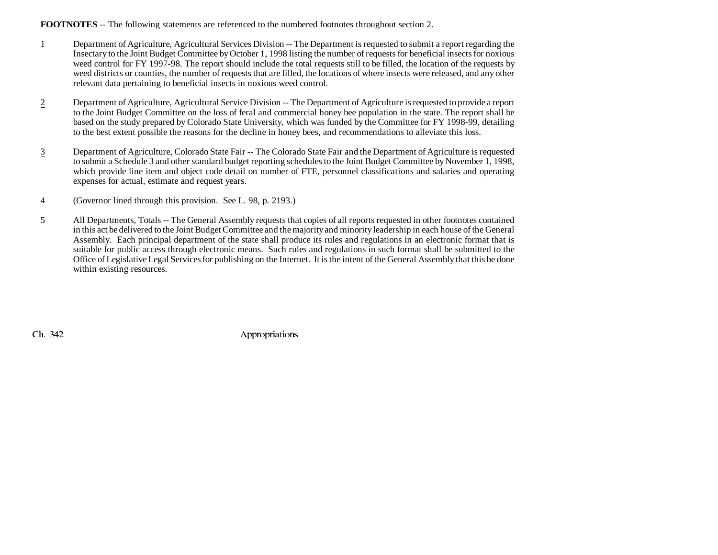### **FOOTNOTES** -- The following statements are referenced to the numbered footnotes throughout section 2.

- 1 Department of Agriculture, Agricultural Services Division -- The Department is requested to submit a report regarding the Insectary to the Joint Budget Committee by October 1, 1998 listing the number of requests for beneficial insects for noxious weed control for FY 1997-98. The report should include the total requests still to be filled, the location of the requests by weed districts or counties, the number of requests that are filled, the locations of where insects were released, and any other relevant data pertaining to beneficial insects in noxious weed control.
- 2 Department of Agriculture, Agricultural Service Division -- The Department of Agriculture is requested to provide a report to the Joint Budget Committee on the loss of feral and commercial honey bee population in the state. The report shall be based on the study prepared by Colorado State University, which was funded by the Committee for FY 1998-99, detailing to the best extent possible the reasons for the decline in honey bees, and recommendations to alleviate this loss.
- 3 Department of Agriculture, Colorado State Fair **--** The Colorado State Fair and the Department of Agriculture is requested to submit a Schedule 3 and other standard budget reporting schedules to the Joint Budget Committee by November 1, 1998, which provide line item and object code detail on number of FTE, personnel classifications and salaries and operating expenses for actual, estimate and request years.
- 4 (Governor lined through this provision. See L. 98, p. 2193.)
- 5 All Departments, Totals -- The General Assembly requests that copies of all reports requested in other footnotes contained in this act be delivered to the Joint Budget Committee and the majority and minority leadership in each house of the General Assembly. Each principal department of the state shall produce its rules and regulations in an electronic format that is suitable for public access through electronic means. Such rules and regulations in such format shall be submitted to the Office of Legislative Legal Services for publishing on the Internet. It is the intent of the General Assembly that this be done within existing resources.